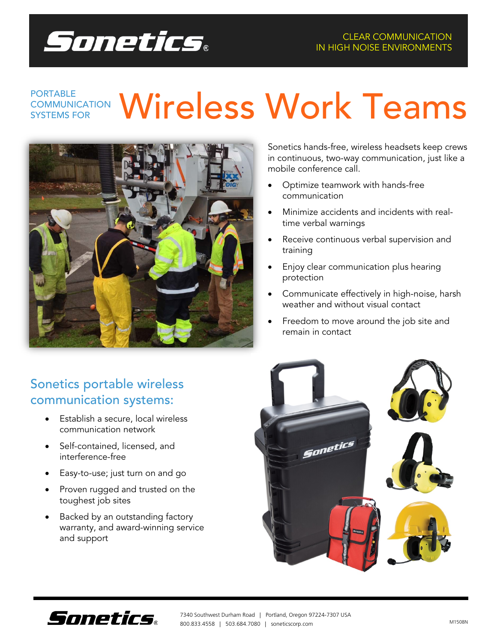

### **COMMUNICATION Wireless Work Teams COMMUNICATION** SYSTEMS FOR



Sonetics hands-free, wireless headsets keep crews in continuous, two-way communication, just like a mobile conference call.

- Optimize teamwork with hands-free communication
- Minimize accidents and incidents with realtime verbal warnings
- Receive continuous verbal supervision and training
- Enjoy clear communication plus hearing protection
- Communicate effectively in high-noise, harsh weather and without visual contact
- Freedom to move around the job site and remain in contact

# Sonetics portable wireless communication systems:

- Establish a secure, local wireless communication network
- Self-contained, licensed, and interference-free
- Easy-to-use; just turn on and go
- Proven rugged and trusted on the toughest job sites
- Backed by an outstanding factory warranty, and award-winning service and support